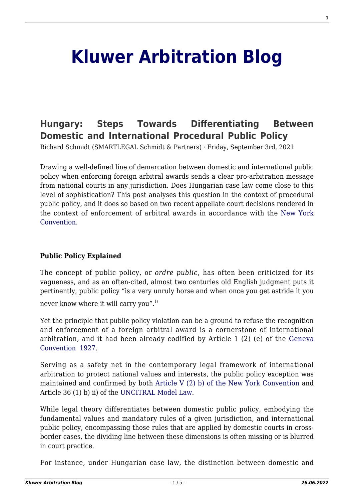# **[Kluwer Arbitration Blog](http://arbitrationblog.kluwerarbitration.com/)**

# **[Hungary: Steps Towards Differentiating Between](http://arbitrationblog.kluwerarbitration.com/2021/09/03/hungary-steps-towards-differentiating-between-domestic-and-international-procedural-public-policy/) [Domestic and International Procedural Public Policy](http://arbitrationblog.kluwerarbitration.com/2021/09/03/hungary-steps-towards-differentiating-between-domestic-and-international-procedural-public-policy/)**

Richard Schmidt (SMARTLEGAL Schmidt & Partners) · Friday, September 3rd, 2021

Drawing a well-defined line of demarcation between domestic and international public policy when enforcing foreign arbitral awards sends a clear pro-arbitration message from national courts in any jurisdiction. Does Hungarian case law come close to this level of sophistication? This post analyses this question in the context of procedural public policy, and it does so based on two recent appellate court decisions rendered in the context of enforcement of arbitral awards in accordance with the [New York](https://www.newyorkconvention.org/english) **Convention** 

#### **Public Policy Explained**

The concept of public policy, or *ordre public*, has often been criticized for its vagueness, and as an often-cited, almost two centuries old English judgment puts it pertinently, public policy "is a very unruly horse and when once you get astride it you

never know where it will carry you".<sup>1)</sup>

Yet the principle that public policy violation can be a ground to refuse the recognition and enforcement of a foreign arbitral award is a cornerstone of international arbitration, and it had been already codified by Article 1 (2) (e) of the [Geneva](https://treaties.un.org/pages/LONViewDetails.aspx?src=LON&id=550&chapter=30&clang=_en) [Convention 1927.](https://treaties.un.org/pages/LONViewDetails.aspx?src=LON&id=550&chapter=30&clang=_en)

Serving as a safety net in the contemporary legal framework of international arbitration to protect national values and interests, the public policy exception was maintained and confirmed by both [Article V \(2\) b\) of the New York Convention](https://newyorkconvention1958.org/index.php?lvl=cmspage&pageid=10&menu=730&opac_view=-1) and Article 36 (1) b) ii) of the [UNCITRAL Model Law](https://uncitral.un.org/en/texts/arbitration/modellaw/commercial_arbitration).

While legal theory differentiates between domestic public policy, embodying the fundamental values and mandatory rules of a given jurisdiction, and international public policy, encompassing those rules that are applied by domestic courts in crossborder cases, the dividing line between these dimensions is often missing or is blurred in court practice.

For instance, under Hungarian case law, the distinction between domestic and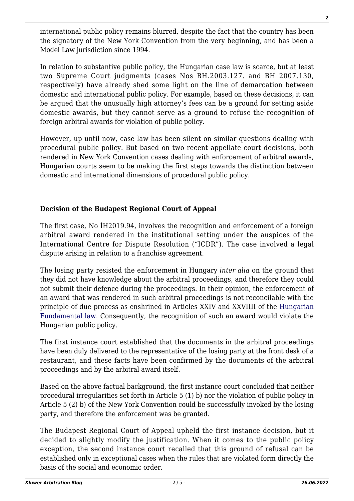international public policy remains blurred, despite the fact that the country has been the signatory of the New York Convention from the very beginning, and has been a Model Law jurisdiction since 1994.

In relation to substantive public policy, the Hungarian case law is scarce, but at least two Supreme Court judgments (cases Nos BH.2003.127. and BH 2007.130, respectively) have already shed some light on the line of demarcation between domestic and international public policy. For example, based on these decisions, it can be argued that the unusually high attorney's fees can be a ground for setting aside domestic awards, but they cannot serve as a ground to refuse the recognition of foreign arbitral awards for violation of public policy.

However, up until now, case law has been silent on similar questions dealing with procedural public policy. But based on two recent appellate court decisions, both rendered in New York Convention cases dealing with enforcement of arbitral awards, Hungarian courts seem to be making the first steps towards the distinction between domestic and international dimensions of procedural public policy.

## **Decision of the Budapest Regional Court of Appeal**

The first case, No ÍH2019.94, involves the recognition and enforcement of a foreign arbitral award rendered in the institutional setting under the auspices of the International Centre for Dispute Resolution ("ICDR"). The case involved a legal dispute arising in relation to a franchise agreement.

The losing party resisted the enforcement in Hungary *inter alia* on the ground that they did not have knowledge about the arbitral proceedings, and therefore they could not submit their defence during the proceedings. In their opinion, the enforcement of an award that was rendered in such arbitral proceedings is not reconcilable with the principle of due process as enshrined in Articles XXIV and XXVIIII of the [Hungarian](https://hunconcourt.hu/uploads/sites/3/2021/01/thefundamentallawofhungary_20201223_fin.pdf) [Fundamental law](https://hunconcourt.hu/uploads/sites/3/2021/01/thefundamentallawofhungary_20201223_fin.pdf). Consequently, the recognition of such an award would violate the Hungarian public policy.

The first instance court established that the documents in the arbitral proceedings have been duly delivered to the representative of the losing party at the front desk of a restaurant, and these facts have been confirmed by the documents of the arbitral proceedings and by the arbitral award itself.

Based on the above factual background, the first instance court concluded that neither procedural irregularities set forth in Article 5 (1) b) nor the violation of public policy in Article 5 (2) b) of the New York Convention could be successfully invoked by the losing party, and therefore the enforcement was be granted.

The Budapest Regional Court of Appeal upheld the first instance decision, but it decided to slightly modify the justification. When it comes to the public policy exception, the second instance court recalled that this ground of refusal can be established only in exceptional cases when the rules that are violated form directly the basis of the social and economic order.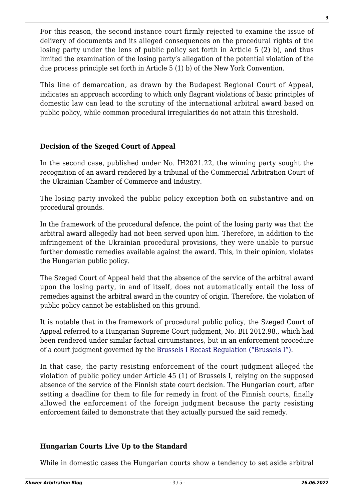For this reason, the second instance court firmly rejected to examine the issue of delivery of documents and its alleged consequences on the procedural rights of the losing party under the lens of public policy set forth in Article 5 (2) b), and thus limited the examination of the losing party's allegation of the potential violation of the due process principle set forth in Article 5 (1) b) of the New York Convention.

This line of demarcation, as drawn by the Budapest Regional Court of Appeal, indicates an approach according to which only flagrant violations of basic principles of domestic law can lead to the scrutiny of the international arbitral award based on public policy, while common procedural irregularities do not attain this threshold.

### **Decision of the Szeged Court of Appeal**

In the second case, published under No. ÍH2021.22, the winning party sought the recognition of an award rendered by a tribunal of the Commercial Arbitration Court of the Ukrainian Chamber of Commerce and Industry.

The losing party invoked the public policy exception both on substantive and on procedural grounds.

In the framework of the procedural defence, the point of the losing party was that the arbitral award allegedly had not been served upon him. Therefore, in addition to the infringement of the Ukrainian procedural provisions, they were unable to pursue further domestic remedies available against the award. This, in their opinion, violates the Hungarian public policy.

The Szeged Court of Appeal held that the absence of the service of the arbitral award upon the losing party, in and of itself, does not automatically entail the loss of remedies against the arbitral award in the country of origin. Therefore, the violation of public policy cannot be established on this ground.

It is notable that in the framework of procedural public policy, the Szeged Court of Appeal referred to a Hungarian Supreme Court judgment, No. BH 2012.98., which had been rendered under similar factual circumstances, but in an enforcement procedure of a court judgment governed by the [Brussels I Recast Regulation \("Brussels I"\).](https://eur-lex.europa.eu/legal-content/EN/ALL/?uri=celex%3A32012R1215)

In that case, the party resisting enforcement of the court judgment alleged the violation of public policy under Article 45 (1) of Brussels I, relying on the supposed absence of the service of the Finnish state court decision. The Hungarian court, after setting a deadline for them to file for remedy in front of the Finnish courts, finally allowed the enforcement of the foreign judgment because the party resisting enforcement failed to demonstrate that they actually pursued the said remedy.

### **Hungarian Courts Live Up to the Standard**

While in domestic cases the Hungarian courts show a tendency to set aside arbitral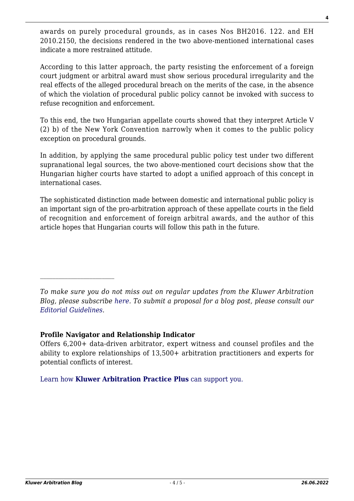awards on purely procedural grounds, as in cases Nos BH2016. 122. and EH 2010.2150, the decisions rendered in the two above-mentioned international cases indicate a more restrained attitude.

According to this latter approach, the party resisting the enforcement of a foreign court judgment or arbitral award must show serious procedural irregularity and the real effects of the alleged procedural breach on the merits of the case, in the absence of which the violation of procedural public policy cannot be invoked with success to refuse recognition and enforcement.

To this end, the two Hungarian appellate courts showed that they interpret Article V (2) b) of the New York Convention narrowly when it comes to the public policy exception on procedural grounds.

In addition, by applying the same procedural public policy test under two different supranational legal sources, the two above-mentioned court decisions show that the Hungarian higher courts have started to adopt a unified approach of this concept in international cases.

The sophisticated distinction made between domestic and international public policy is an important sign of the pro-arbitration approach of these appellate courts in the field of recognition and enforcement of foreign arbitral awards, and the author of this article hopes that Hungarian courts will follow this path in the future.

*To make sure you do not miss out on regular updates from the Kluwer Arbitration Blog, please subscribe [here](http://arbitrationblog.kluwerarbitration.com/newsletter/). To submit a proposal for a blog post, please consult our [Editorial Guidelines.](http://arbitrationblog.kluwerarbitration.com/editorial-guidelines/)*

#### **Profile Navigator and Relationship Indicator**

Offers 6,200+ data-driven arbitrator, expert witness and counsel profiles and the ability to explore relationships of 13,500+ arbitration practitioners and experts for potential conflicts of interest.

[Learn how](https://www.wolterskluwer.com/en/solutions/kluwerarbitration/practiceplus?utm_source=arbitrationblog&utm_medium=articleCTA&utm_campaign=article-banner) **[Kluwer Arbitration Practice Plus](https://www.wolterskluwer.com/en/solutions/kluwerarbitration/practiceplus?utm_source=arbitrationblog&utm_medium=articleCTA&utm_campaign=article-banner)** [can support you.](https://www.wolterskluwer.com/en/solutions/kluwerarbitration/practiceplus?utm_source=arbitrationblog&utm_medium=articleCTA&utm_campaign=article-banner)